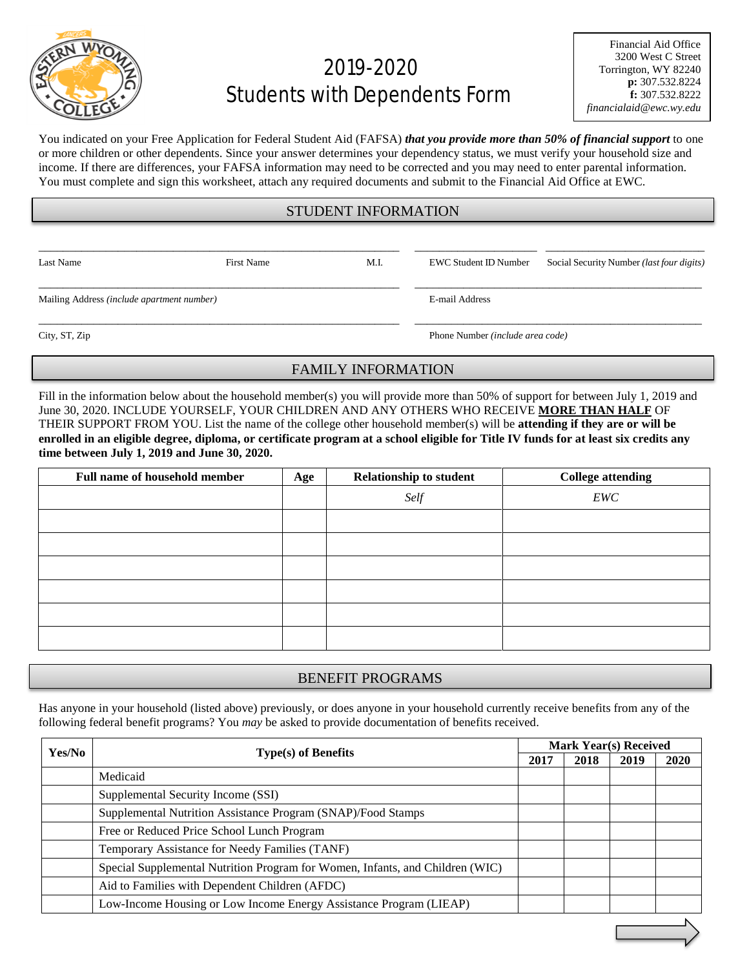

# 2019-2020 Students with Dependents Form

You indicated on your Free Application for Federal Student Aid (FAFSA) *that you provide more than 50% of financial support* to one or more children or other dependents. Since your answer determines your dependency status, we must verify your household size and income. If there are differences, your FAFSA information may need to be corrected and you may need to enter parental information. You must complete and sign this worksheet, attach any required documents and submit to the Financial Aid Office at EWC.

### STUDENT INFORMATION

\_\_\_\_\_\_\_\_\_\_\_\_\_\_\_\_\_\_\_\_\_\_\_\_\_\_\_\_\_\_\_\_\_\_\_\_\_\_\_\_\_\_\_\_\_\_\_\_\_\_\_\_\_\_\_\_\_\_\_ \_\_\_\_\_\_\_\_\_\_\_\_\_\_\_\_\_\_\_\_ \_\_\_\_\_\_\_\_\_\_\_\_\_\_\_\_\_\_\_\_\_\_\_\_\_\_

Last Name First Name First Name M.I. EWC Student ID Number Social Security Number *(last four digits)* 

Mailing Address *(include apartment number)* E-mail Address

\_\_\_\_\_\_\_\_\_\_\_\_\_\_\_\_\_\_\_\_\_\_\_\_\_\_\_\_\_\_\_\_\_\_\_\_\_\_\_\_\_\_\_\_\_\_\_\_\_\_\_\_\_\_\_\_\_\_\_ \_\_\_\_\_\_\_\_\_\_\_\_\_\_\_\_\_\_\_\_\_\_\_\_\_\_\_\_\_\_\_\_\_\_\_\_\_\_\_\_\_\_\_\_\_\_\_

\_\_\_\_\_\_\_\_\_\_\_\_\_\_\_\_\_\_\_\_\_\_\_\_\_\_\_\_\_\_\_\_\_\_\_\_\_\_\_\_\_\_\_\_\_\_\_\_\_\_\_\_\_\_\_\_\_\_\_ \_\_\_\_\_\_\_\_\_\_\_\_\_\_\_\_\_\_\_\_\_\_\_\_\_\_\_\_\_\_\_\_\_\_\_\_\_\_\_\_\_\_\_\_\_\_\_

City, ST, Zip Phone Number *(include area code)*

## FAMILY INFORMATION

Fill in the information below about the household member(s) you will provide more than 50% of support for between July 1, 2019 and June 30, 2020. INCLUDE YOURSELF, YOUR CHILDREN AND ANY OTHERS WHO RECEIVE **MORE THAN HALF** OF THEIR SUPPORT FROM YOU. List the name of the college other household member(s) will be **attending if they are or will be enrolled in an eligible degree, diploma, or certificate program at a school eligible for Title IV funds for at least six credits any time between July 1, 2019 and June 30, 2020.**

| <b>Full name of household member</b> | Age | <b>Relationship to student</b> | <b>College attending</b> |
|--------------------------------------|-----|--------------------------------|--------------------------|
|                                      |     | Self                           | EWC                      |
|                                      |     |                                |                          |
|                                      |     |                                |                          |
|                                      |     |                                |                          |
|                                      |     |                                |                          |
|                                      |     |                                |                          |
|                                      |     |                                |                          |

#### BENEFIT PROGRAMS

Has anyone in your household (listed above) previously, or does anyone in your household currently receive benefits from any of the following federal benefit programs? You *may* be asked to provide documentation of benefits received.

| Yes/No |                                                                               | <b>Mark Year(s) Received</b> |      |      |             |
|--------|-------------------------------------------------------------------------------|------------------------------|------|------|-------------|
|        | <b>Type(s) of Benefits</b>                                                    |                              | 2018 | 2019 | <b>2020</b> |
|        | Medicaid                                                                      |                              |      |      |             |
|        | Supplemental Security Income (SSI)                                            |                              |      |      |             |
|        | Supplemental Nutrition Assistance Program (SNAP)/Food Stamps                  |                              |      |      |             |
|        | Free or Reduced Price School Lunch Program                                    |                              |      |      |             |
|        | Temporary Assistance for Needy Families (TANF)                                |                              |      |      |             |
|        | Special Supplemental Nutrition Program for Women, Infants, and Children (WIC) |                              |      |      |             |
|        | Aid to Families with Dependent Children (AFDC)                                |                              |      |      |             |
|        | Low-Income Housing or Low Income Energy Assistance Program (LIEAP)            |                              |      |      |             |
|        |                                                                               |                              |      |      |             |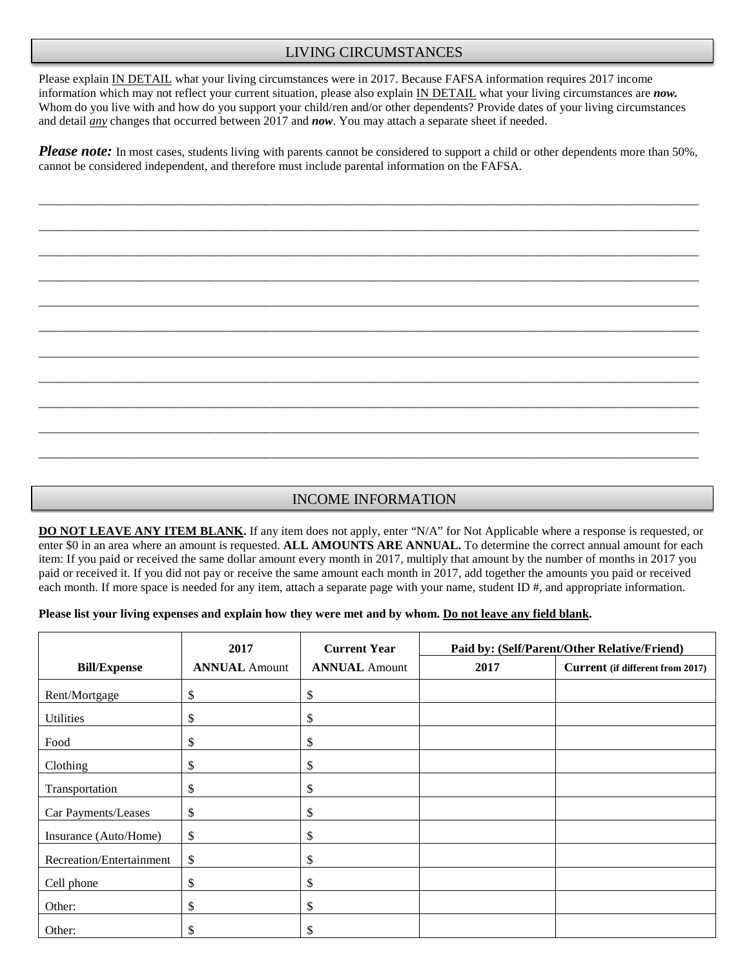### LIVING CIRCUMSTANCES

Please explain IN DETAIL what your living circumstances were in 2017. Because FAFSA information requires 2017 income information which may not reflect your current situation, please also explain IN DETAIL what your living circumstances are *now.*  Whom do you live with and how do you support your child/ren and/or other dependents? Provide dates of your living circumstances and detail *any* changes that occurred between 2017 and *now*. You may attach a separate sheet if needed.

*Please note:* In most cases, students living with parents cannot be considered to support a child or other dependents more than 50%, cannot be considered independent, and therefore must include parental information on the FAFSA.

\_\_\_\_\_\_\_\_\_\_\_\_\_\_\_\_\_\_\_\_\_\_\_\_\_\_\_\_\_\_\_\_\_\_\_\_\_\_\_\_\_\_\_\_\_\_\_\_\_\_\_\_\_\_\_\_\_\_\_\_\_\_\_\_\_\_\_\_\_\_\_\_\_\_\_\_\_\_\_\_\_\_\_\_\_\_\_\_\_\_\_\_\_\_\_\_\_\_\_\_\_\_\_\_\_\_\_\_

\_\_\_\_\_\_\_\_\_\_\_\_\_\_\_\_\_\_\_\_\_\_\_\_\_\_\_\_\_\_\_\_\_\_\_\_\_\_\_\_\_\_\_\_\_\_\_\_\_\_\_\_\_\_\_\_\_\_\_\_\_\_\_\_\_\_\_\_\_\_\_\_\_\_\_\_\_\_\_\_\_\_\_\_\_\_\_\_\_\_\_\_\_\_\_\_\_\_\_\_\_\_\_\_\_\_\_\_

\_\_\_\_\_\_\_\_\_\_\_\_\_\_\_\_\_\_\_\_\_\_\_\_\_\_\_\_\_\_\_\_\_\_\_\_\_\_\_\_\_\_\_\_\_\_\_\_\_\_\_\_\_\_\_\_\_\_\_\_\_\_\_\_\_\_\_\_\_\_\_\_\_\_\_\_\_\_\_\_\_\_\_\_\_\_\_\_\_\_\_\_\_\_\_\_\_\_\_\_\_\_\_\_\_\_\_\_

\_\_\_\_\_\_\_\_\_\_\_\_\_\_\_\_\_\_\_\_\_\_\_\_\_\_\_\_\_\_\_\_\_\_\_\_\_\_\_\_\_\_\_\_\_\_\_\_\_\_\_\_\_\_\_\_\_\_\_\_\_\_\_\_\_\_\_\_\_\_\_\_\_\_\_\_\_\_\_\_\_\_\_\_\_\_\_\_\_\_\_\_\_\_\_\_\_\_\_\_\_\_\_\_\_\_\_\_

\_\_\_\_\_\_\_\_\_\_\_\_\_\_\_\_\_\_\_\_\_\_\_\_\_\_\_\_\_\_\_\_\_\_\_\_\_\_\_\_\_\_\_\_\_\_\_\_\_\_\_\_\_\_\_\_\_\_\_\_\_\_\_\_\_\_\_\_\_\_\_\_\_\_\_\_\_\_\_\_\_\_\_\_\_\_\_\_\_\_\_\_\_\_\_\_\_\_\_\_\_\_\_\_\_\_\_\_

\_\_\_\_\_\_\_\_\_\_\_\_\_\_\_\_\_\_\_\_\_\_\_\_\_\_\_\_\_\_\_\_\_\_\_\_\_\_\_\_\_\_\_\_\_\_\_\_\_\_\_\_\_\_\_\_\_\_\_\_\_\_\_\_\_\_\_\_\_\_\_\_\_\_\_\_\_\_\_\_\_\_\_\_\_\_\_\_\_\_\_\_\_\_\_\_\_\_\_\_\_\_\_\_\_\_\_\_

\_\_\_\_\_\_\_\_\_\_\_\_\_\_\_\_\_\_\_\_\_\_\_\_\_\_\_\_\_\_\_\_\_\_\_\_\_\_\_\_\_\_\_\_\_\_\_\_\_\_\_\_\_\_\_\_\_\_\_\_\_\_\_\_\_\_\_\_\_\_\_\_\_\_\_\_\_\_\_\_\_\_\_\_\_\_\_\_\_\_\_\_\_\_\_\_\_\_\_\_\_\_\_\_\_\_\_\_

\_\_\_\_\_\_\_\_\_\_\_\_\_\_\_\_\_\_\_\_\_\_\_\_\_\_\_\_\_\_\_\_\_\_\_\_\_\_\_\_\_\_\_\_\_\_\_\_\_\_\_\_\_\_\_\_\_\_\_\_\_\_\_\_\_\_\_\_\_\_\_\_\_\_\_\_\_\_\_\_\_\_\_\_\_\_\_\_\_\_\_\_\_\_\_\_\_\_\_\_\_\_\_\_\_\_\_\_

\_\_\_\_\_\_\_\_\_\_\_\_\_\_\_\_\_\_\_\_\_\_\_\_\_\_\_\_\_\_\_\_\_\_\_\_\_\_\_\_\_\_\_\_\_\_\_\_\_\_\_\_\_\_\_\_\_\_\_\_\_\_\_\_\_\_\_\_\_\_\_\_\_\_\_\_\_\_\_\_\_\_\_\_\_\_\_\_\_\_\_\_\_\_\_\_\_\_\_\_\_\_\_\_\_\_\_\_

\_\_\_\_\_\_\_\_\_\_\_\_\_\_\_\_\_\_\_\_\_\_\_\_\_\_\_\_\_\_\_\_\_\_\_\_\_\_\_\_\_\_\_\_\_\_\_\_\_\_\_\_\_\_\_\_\_\_\_\_\_\_\_\_\_\_\_\_\_\_\_\_\_\_\_\_\_\_\_\_\_\_\_\_\_\_\_\_\_\_\_\_\_\_\_\_\_\_\_\_\_\_\_\_\_\_\_\_

\_\_\_\_\_\_\_\_\_\_\_\_\_\_\_\_\_\_\_\_\_\_\_\_\_\_\_\_\_\_\_\_\_\_\_\_\_\_\_\_\_\_\_\_\_\_\_\_\_\_\_\_\_\_\_\_\_\_\_\_\_\_\_\_\_\_\_\_\_\_\_\_\_\_\_\_\_\_\_\_\_\_\_\_\_\_\_\_\_\_\_\_\_\_\_\_\_\_\_\_\_\_\_\_\_\_\_\_

#### INCOME INFORMATION

**DO NOT LEAVE ANY ITEM BLANK.** If any item does not apply, enter "N/A" for Not Applicable where a response is requested, or enter \$0 in an area where an amount is requested. **ALL AMOUNTS ARE ANNUAL.** To determine the correct annual amount for each item: If you paid or received the same dollar amount every month in 2017, multiply that amount by the number of months in 2017 you paid or received it. If you did not pay or receive the same amount each month in 2017, add together the amounts you paid or received each month. If more space is needed for any item, attach a separate page with your name, student ID #, and appropriate information.

#### **Please list your living expenses and explain how they were met and by whom. Do not leave any field blank.**

|                          | 2017                 | <b>Current Year</b>  | Paid by: (Self/Parent/Other Relative/Friend) |                                  |  |  |
|--------------------------|----------------------|----------------------|----------------------------------------------|----------------------------------|--|--|
| <b>Bill/Expense</b>      | <b>ANNUAL Amount</b> | <b>ANNUAL Amount</b> | 2017                                         | Current (if different from 2017) |  |  |
| Rent/Mortgage            | \$                   | \$                   |                                              |                                  |  |  |
| <b>Utilities</b>         | \$                   | \$                   |                                              |                                  |  |  |
| Food                     | \$                   | \$                   |                                              |                                  |  |  |
| Clothing                 | \$                   | \$                   |                                              |                                  |  |  |
| Transportation           | \$                   | \$                   |                                              |                                  |  |  |
| Car Payments/Leases      | \$                   | \$                   |                                              |                                  |  |  |
| Insurance (Auto/Home)    | \$                   | \$                   |                                              |                                  |  |  |
| Recreation/Entertainment | \$                   | \$                   |                                              |                                  |  |  |
| Cell phone               | \$                   | \$                   |                                              |                                  |  |  |
| Other:                   | \$                   | \$                   |                                              |                                  |  |  |
| Other:                   | \$                   | \$                   |                                              |                                  |  |  |